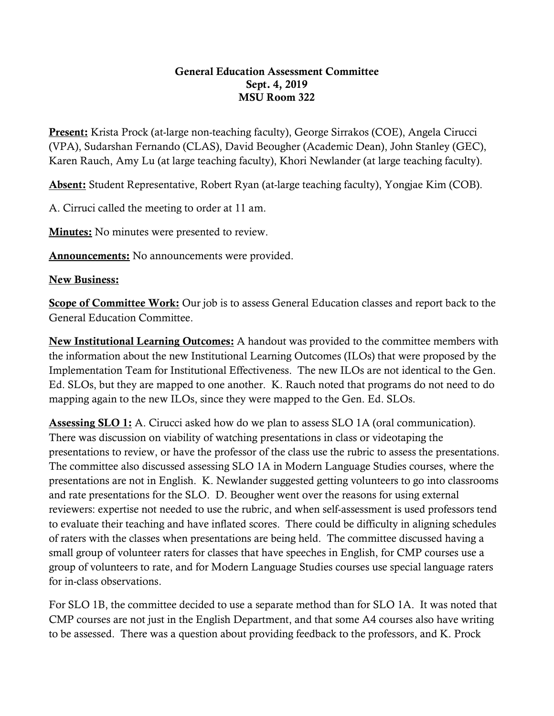## General Education Assessment Committee Sept. 4, 2019 MSU Room 322

Present: Krista Prock (at-large non-teaching faculty), George Sirrakos (COE), Angela Cirucci (VPA), Sudarshan Fernando (CLAS), David Beougher (Academic Dean), John Stanley (GEC), Karen Rauch, Amy Lu (at large teaching faculty), Khori Newlander (at large teaching faculty).

Absent: Student Representative, Robert Ryan (at-large teaching faculty), Yongjae Kim (COB).

A. Cirruci called the meeting to order at 11 am.

**Minutes:** No minutes were presented to review.

Announcements: No announcements were provided.

## New Business:

Scope of Committee Work: Our job is to assess General Education classes and report back to the General Education Committee.

New Institutional Learning Outcomes: A handout was provided to the committee members with the information about the new Institutional Learning Outcomes (ILOs) that were proposed by the Implementation Team for Institutional Effectiveness. The new ILOs are not identical to the Gen. Ed. SLOs, but they are mapped to one another. K. Rauch noted that programs do not need to do mapping again to the new ILOs, since they were mapped to the Gen. Ed. SLOs.

Assessing SLO 1: A. Cirucci asked how do we plan to assess SLO 1A (oral communication). There was discussion on viability of watching presentations in class or videotaping the presentations to review, or have the professor of the class use the rubric to assess the presentations. The committee also discussed assessing SLO 1A in Modern Language Studies courses, where the presentations are not in English. K. Newlander suggested getting volunteers to go into classrooms and rate presentations for the SLO. D. Beougher went over the reasons for using external reviewers: expertise not needed to use the rubric, and when self-assessment is used professors tend to evaluate their teaching and have inflated scores. There could be difficulty in aligning schedules of raters with the classes when presentations are being held. The committee discussed having a small group of volunteer raters for classes that have speeches in English, for CMP courses use a group of volunteers to rate, and for Modern Language Studies courses use special language raters for in-class observations.

For SLO 1B, the committee decided to use a separate method than for SLO 1A. It was noted that CMP courses are not just in the English Department, and that some A4 courses also have writing to be assessed. There was a question about providing feedback to the professors, and K. Prock